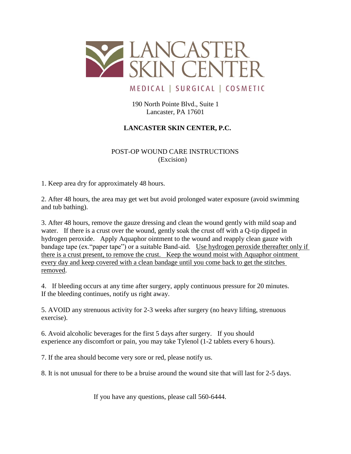

MEDICAL | SURGICAL | COSMETIC

190 North Pointe Blvd., Suite 1 Lancaster, PA 17601

## **LANCASTER SKIN CENTER, P.C.**

 POST-OP WOUND CARE INSTRUCTIONS (Excision)

1. Keep area dry for approximately 48 hours.

2. After 48 hours, the area may get wet but avoid prolonged water exposure (avoid swimming and tub bathing).

3. After 48 hours, remove the gauze dressing and clean the wound gently with mild soap and water. If there is a crust over the wound, gently soak the crust off with a Q-tip dipped in hydrogen peroxide. Apply Aquaphor ointment to the wound and reapply clean gauze with bandage tape (ex."paper tape") or a suitable Band-aid. Use hydrogen peroxide thereafter only if there is a crust present, to remove the crust. Keep the wound moist with Aquaphor ointment every day and keep covered with a clean bandage until you come back to get the stitches removed.

4. If bleeding occurs at any time after surgery, apply continuous pressure for 20 minutes. If the bleeding continues, notify us right away.

5. AVOID any strenuous activity for 2-3 weeks after surgery (no heavy lifting, strenuous exercise).

6. Avoid alcoholic beverages for the first 5 days after surgery. If you should experience any discomfort or pain, you may take Tylenol (1-2 tablets every 6 hours).

7. If the area should become very sore or red, please notify us.

8. It is not unusual for there to be a bruise around the wound site that will last for 2-5 days.

If you have any questions, please call 560-6444.